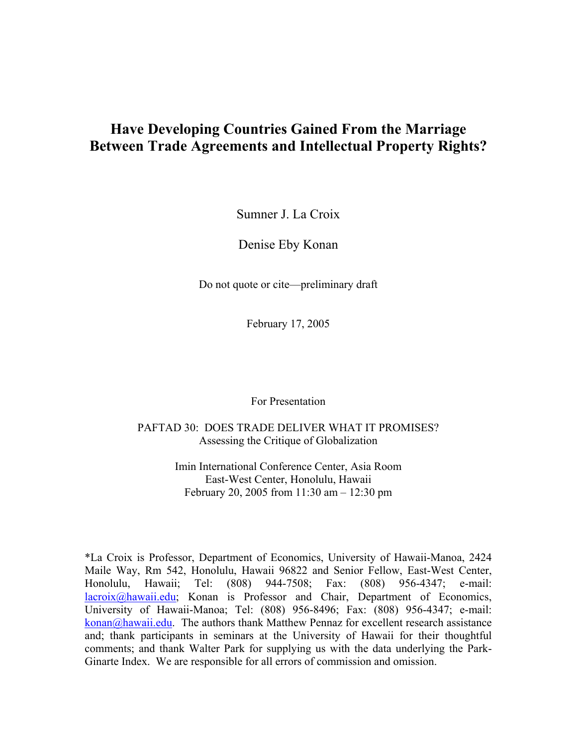# **Have Developing Countries Gained From the Marriage Between Trade Agreements and Intellectual Property Rights?**

Sumner J. La Croix

Denise Eby Konan

Do not quote or cite—preliminary draft

February 17, 2005

For Presentation

PAFTAD 30: DOES TRADE DELIVER WHAT IT PROMISES? Assessing the Critique of Globalization

> Imin International Conference Center, Asia Room East-West Center, Honolulu, Hawaii February 20, 2005 from 11:30 am – 12:30 pm

\*La Croix is Professor, Department of Economics, University of Hawaii-Manoa, 2424 Maile Way, Rm 542, Honolulu, Hawaii 96822 and Senior Fellow, East-West Center, Honolulu, Hawaii; Tel: (808) 944-7508; Fax: (808) 956-4347; e-mail: [lacroix@hawaii.edu;](mailto:lacroix@hawaii.edu) Konan is Professor and Chair, Department of Economics, University of Hawaii-Manoa; Tel: (808) 956-8496; Fax: (808) 956-4347; e-mail:  $konan(a)$ hawaii.edu. The authors thank Matthew Pennaz for excellent research assistance and; thank participants in seminars at the University of Hawaii for their thoughtful comments; and thank Walter Park for supplying us with the data underlying the Park-Ginarte Index. We are responsible for all errors of commission and omission.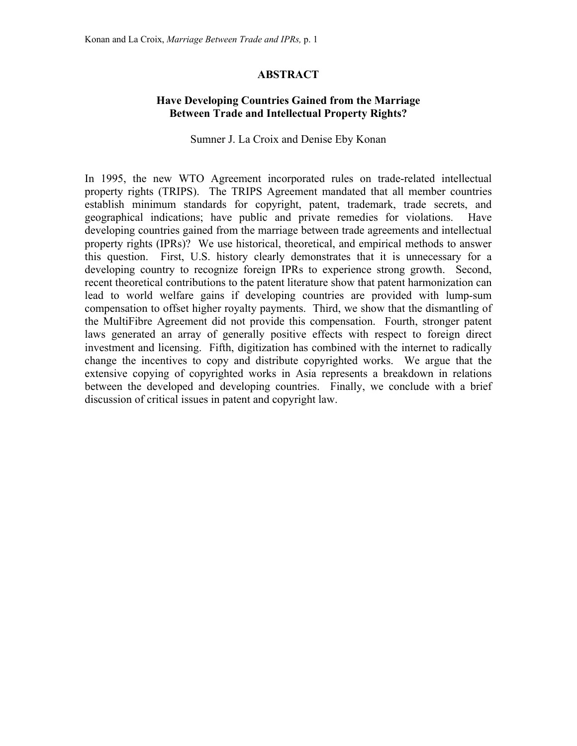# **ABSTRACT**

# **Have Developing Countries Gained from the Marriage Between Trade and Intellectual Property Rights?**

Sumner J. La Croix and Denise Eby Konan

In 1995, the new WTO Agreement incorporated rules on trade-related intellectual property rights (TRIPS). The TRIPS Agreement mandated that all member countries establish minimum standards for copyright, patent, trademark, trade secrets, and geographical indications; have public and private remedies for violations. Have developing countries gained from the marriage between trade agreements and intellectual property rights (IPRs)? We use historical, theoretical, and empirical methods to answer this question. First, U.S. history clearly demonstrates that it is unnecessary for a developing country to recognize foreign IPRs to experience strong growth. Second, recent theoretical contributions to the patent literature show that patent harmonization can lead to world welfare gains if developing countries are provided with lump-sum compensation to offset higher royalty payments. Third, we show that the dismantling of the MultiFibre Agreement did not provide this compensation. Fourth, stronger patent laws generated an array of generally positive effects with respect to foreign direct investment and licensing. Fifth, digitization has combined with the internet to radically change the incentives to copy and distribute copyrighted works. We argue that the extensive copying of copyrighted works in Asia represents a breakdown in relations between the developed and developing countries. Finally, we conclude with a brief discussion of critical issues in patent and copyright law.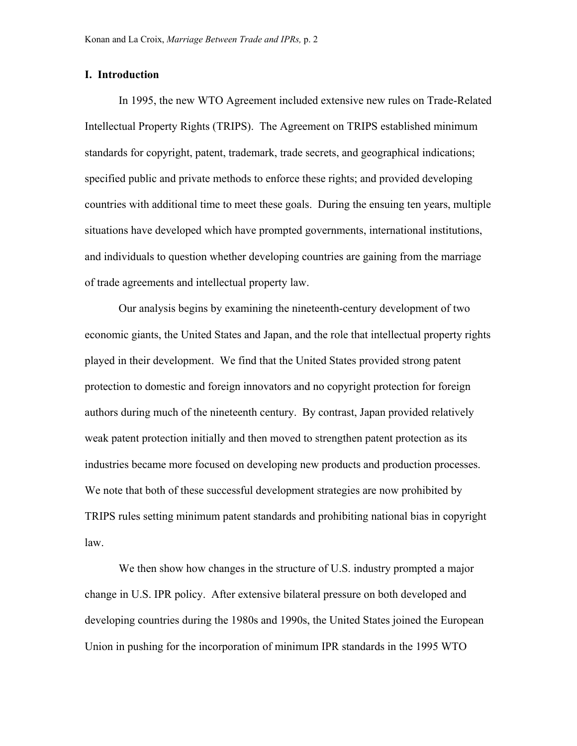#### **I. Introduction**

In 1995, the new WTO Agreement included extensive new rules on Trade-Related Intellectual Property Rights (TRIPS). The Agreement on TRIPS established minimum standards for copyright, patent, trademark, trade secrets, and geographical indications; specified public and private methods to enforce these rights; and provided developing countries with additional time to meet these goals. During the ensuing ten years, multiple situations have developed which have prompted governments, international institutions, and individuals to question whether developing countries are gaining from the marriage of trade agreements and intellectual property law.

Our analysis begins by examining the nineteenth-century development of two economic giants, the United States and Japan, and the role that intellectual property rights played in their development. We find that the United States provided strong patent protection to domestic and foreign innovators and no copyright protection for foreign authors during much of the nineteenth century. By contrast, Japan provided relatively weak patent protection initially and then moved to strengthen patent protection as its industries became more focused on developing new products and production processes. We note that both of these successful development strategies are now prohibited by TRIPS rules setting minimum patent standards and prohibiting national bias in copyright law.

We then show how changes in the structure of U.S. industry prompted a major change in U.S. IPR policy. After extensive bilateral pressure on both developed and developing countries during the 1980s and 1990s, the United States joined the European Union in pushing for the incorporation of minimum IPR standards in the 1995 WTO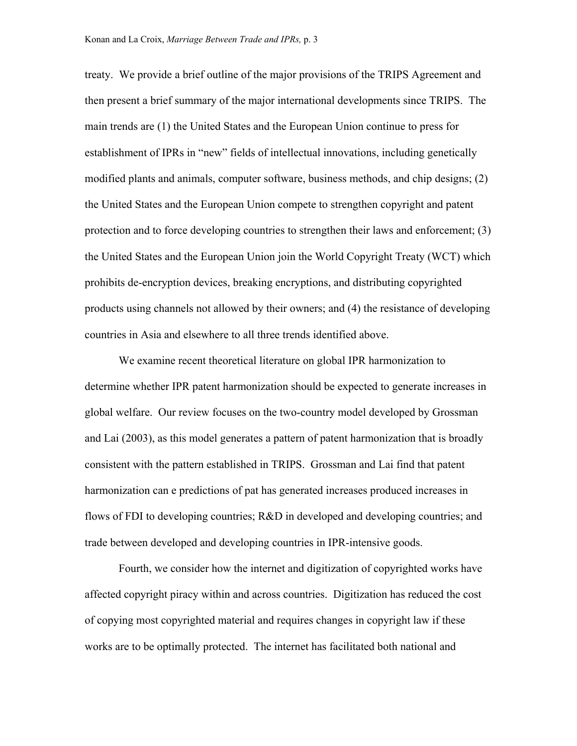treaty. We provide a brief outline of the major provisions of the TRIPS Agreement and then present a brief summary of the major international developments since TRIPS. The main trends are (1) the United States and the European Union continue to press for establishment of IPRs in "new" fields of intellectual innovations, including genetically modified plants and animals, computer software, business methods, and chip designs; (2) the United States and the European Union compete to strengthen copyright and patent protection and to force developing countries to strengthen their laws and enforcement; (3) the United States and the European Union join the World Copyright Treaty (WCT) which prohibits de-encryption devices, breaking encryptions, and distributing copyrighted products using channels not allowed by their owners; and (4) the resistance of developing countries in Asia and elsewhere to all three trends identified above.

We examine recent theoretical literature on global IPR harmonization to determine whether IPR patent harmonization should be expected to generate increases in global welfare. Our review focuses on the two-country model developed by Grossman and Lai (2003), as this model generates a pattern of patent harmonization that is broadly consistent with the pattern established in TRIPS. Grossman and Lai find that patent harmonization can e predictions of pat has generated increases produced increases in flows of FDI to developing countries; R&D in developed and developing countries; and trade between developed and developing countries in IPR-intensive goods.

Fourth, we consider how the internet and digitization of copyrighted works have affected copyright piracy within and across countries. Digitization has reduced the cost of copying most copyrighted material and requires changes in copyright law if these works are to be optimally protected. The internet has facilitated both national and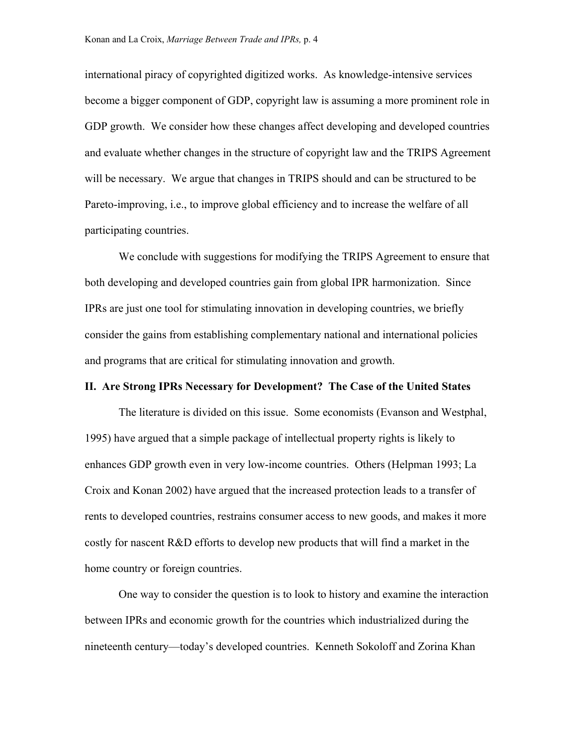international piracy of copyrighted digitized works. As knowledge-intensive services become a bigger component of GDP, copyright law is assuming a more prominent role in GDP growth. We consider how these changes affect developing and developed countries and evaluate whether changes in the structure of copyright law and the TRIPS Agreement will be necessary. We argue that changes in TRIPS should and can be structured to be Pareto-improving, i.e., to improve global efficiency and to increase the welfare of all participating countries.

We conclude with suggestions for modifying the TRIPS Agreement to ensure that both developing and developed countries gain from global IPR harmonization. Since IPRs are just one tool for stimulating innovation in developing countries, we briefly consider the gains from establishing complementary national and international policies and programs that are critical for stimulating innovation and growth.

#### **II. Are Strong IPRs Necessary for Development? The Case of the United States**

The literature is divided on this issue. Some economists (Evanson and Westphal, 1995) have argued that a simple package of intellectual property rights is likely to enhances GDP growth even in very low-income countries. Others (Helpman 1993; La Croix and Konan 2002) have argued that the increased protection leads to a transfer of rents to developed countries, restrains consumer access to new goods, and makes it more costly for nascent R&D efforts to develop new products that will find a market in the home country or foreign countries.

One way to consider the question is to look to history and examine the interaction between IPRs and economic growth for the countries which industrialized during the nineteenth century—today's developed countries. Kenneth Sokoloff and Zorina Khan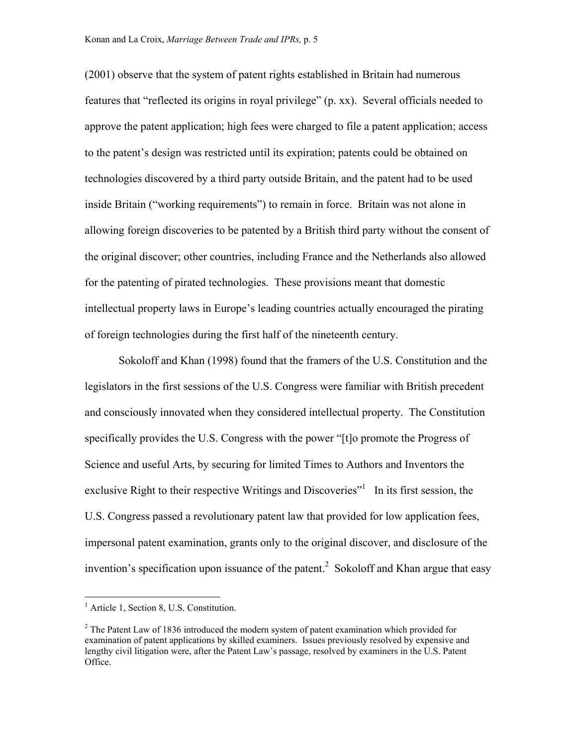(2001) observe that the system of patent rights established in Britain had numerous features that "reflected its origins in royal privilege" (p. xx). Several officials needed to approve the patent application; high fees were charged to file a patent application; access to the patent's design was restricted until its expiration; patents could be obtained on technologies discovered by a third party outside Britain, and the patent had to be used inside Britain ("working requirements") to remain in force. Britain was not alone in allowing foreign discoveries to be patented by a British third party without the consent of the original discover; other countries, including France and the Netherlands also allowed for the patenting of pirated technologies. These provisions meant that domestic intellectual property laws in Europe's leading countries actually encouraged the pirating of foreign technologies during the first half of the nineteenth century.

Sokoloff and Khan (1998) found that the framers of the U.S. Constitution and the legislators in the first sessions of the U.S. Congress were familiar with British precedent and consciously innovated when they considered intellectual property. The Constitution specifically provides the U.S. Congress with the power "[t]o promote the Progress of Science and useful Arts, by securing for limited Times to Authors and Inventors the exclusive Right to their respective Writings and Discoveries"<sup>[1](#page-5-0)</sup> In its first session, the U.S. Congress passed a revolutionary patent law that provided for low application fees, impersonal patent examination, grants only to the original discover, and disclosure of the invention's specification upon issuance of the patent.<sup>2</sup> Sokoloff and Khan argue that easy

<span id="page-5-0"></span><sup>&</sup>lt;sup>1</sup> Article 1, Section 8, U.S. Constitution.

<span id="page-5-1"></span> $2^2$  The Patent Law of 1836 introduced the modern system of patent examination which provided for examination of patent applications by skilled examiners. Issues previously resolved by expensive and lengthy civil litigation were, after the Patent Law's passage, resolved by examiners in the U.S. Patent Office.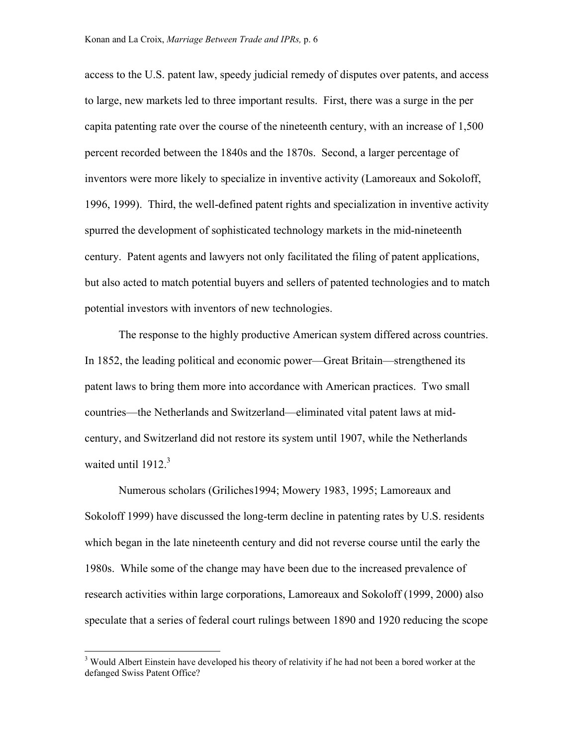access to the U.S. patent law, speedy judicial remedy of disputes over patents, and access to large, new markets led to three important results. First, there was a surge in the per capita patenting rate over the course of the nineteenth century, with an increase of 1,500 percent recorded between the 1840s and the 1870s. Second, a larger percentage of inventors were more likely to specialize in inventive activity (Lamoreaux and Sokoloff, 1996, 1999). Third, the well-defined patent rights and specialization in inventive activity spurred the development of sophisticated technology markets in the mid-nineteenth century. Patent agents and lawyers not only facilitated the filing of patent applications, but also acted to match potential buyers and sellers of patented technologies and to match potential investors with inventors of new technologies.

The response to the highly productive American system differed across countries. In 1852, the leading political and economic power—Great Britain—strengthened its patent laws to bring them more into accordance with American practices. Two small countries—the Netherlands and Switzerland—eliminated vital patent laws at midcentury, and Switzerland did not restore its system until 1907, while the Netherlands waited until  $1912.<sup>3</sup>$ 

Numerous scholars (Griliches1994; Mowery 1983, 1995; Lamoreaux and Sokoloff 1999) have discussed the long-term decline in patenting rates by U.S. residents which began in the late nineteenth century and did not reverse course until the early the 1980s. While some of the change may have been due to the increased prevalence of research activities within large corporations, Lamoreaux and Sokoloff (1999, 2000) also speculate that a series of federal court rulings between 1890 and 1920 reducing the scope

1

<span id="page-6-0"></span><sup>&</sup>lt;sup>3</sup> Would Albert Einstein have developed his theory of relativity if he had not been a bored worker at the defanged Swiss Patent Office?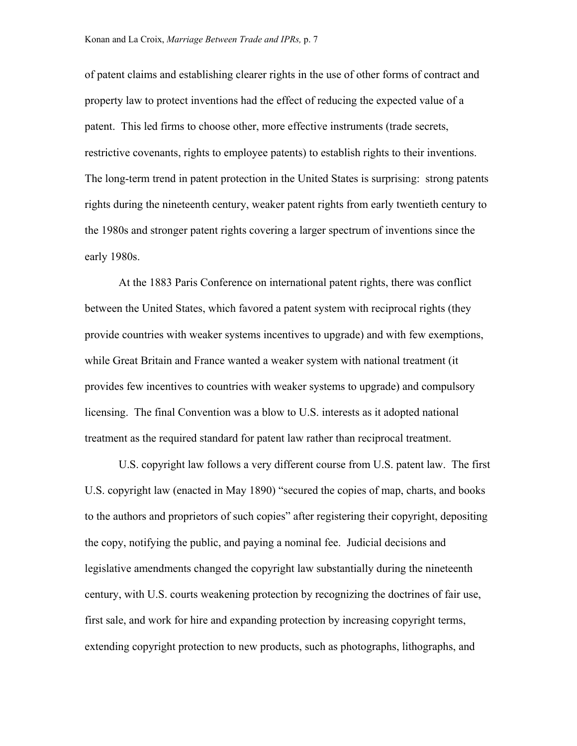of patent claims and establishing clearer rights in the use of other forms of contract and property law to protect inventions had the effect of reducing the expected value of a patent. This led firms to choose other, more effective instruments (trade secrets, restrictive covenants, rights to employee patents) to establish rights to their inventions. The long-term trend in patent protection in the United States is surprising: strong patents rights during the nineteenth century, weaker patent rights from early twentieth century to the 1980s and stronger patent rights covering a larger spectrum of inventions since the early 1980s.

At the 1883 Paris Conference on international patent rights, there was conflict between the United States, which favored a patent system with reciprocal rights (they provide countries with weaker systems incentives to upgrade) and with few exemptions, while Great Britain and France wanted a weaker system with national treatment (it provides few incentives to countries with weaker systems to upgrade) and compulsory licensing. The final Convention was a blow to U.S. interests as it adopted national treatment as the required standard for patent law rather than reciprocal treatment.

U.S. copyright law follows a very different course from U.S. patent law. The first U.S. copyright law (enacted in May 1890) "secured the copies of map, charts, and books to the authors and proprietors of such copies" after registering their copyright, depositing the copy, notifying the public, and paying a nominal fee. Judicial decisions and legislative amendments changed the copyright law substantially during the nineteenth century, with U.S. courts weakening protection by recognizing the doctrines of fair use, first sale, and work for hire and expanding protection by increasing copyright terms, extending copyright protection to new products, such as photographs, lithographs, and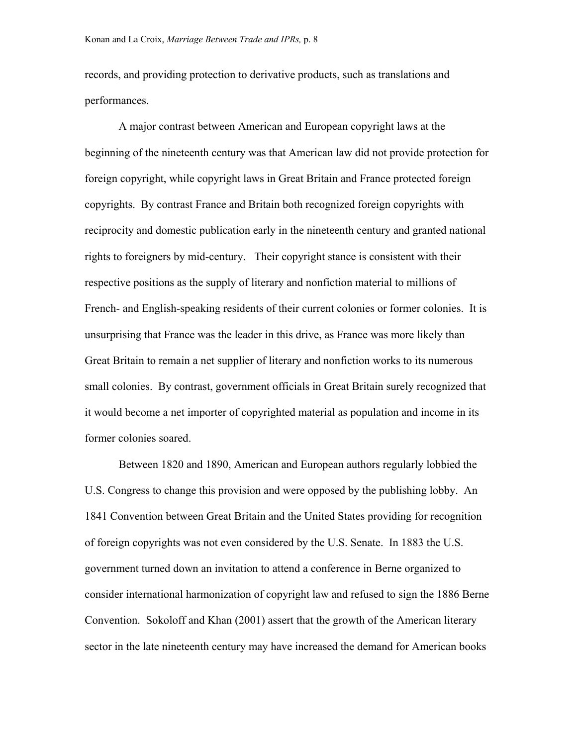records, and providing protection to derivative products, such as translations and performances.

A major contrast between American and European copyright laws at the beginning of the nineteenth century was that American law did not provide protection for foreign copyright, while copyright laws in Great Britain and France protected foreign copyrights. By contrast France and Britain both recognized foreign copyrights with reciprocity and domestic publication early in the nineteenth century and granted national rights to foreigners by mid-century. Their copyright stance is consistent with their respective positions as the supply of literary and nonfiction material to millions of French- and English-speaking residents of their current colonies or former colonies. It is unsurprising that France was the leader in this drive, as France was more likely than Great Britain to remain a net supplier of literary and nonfiction works to its numerous small colonies. By contrast, government officials in Great Britain surely recognized that it would become a net importer of copyrighted material as population and income in its former colonies soared.

Between 1820 and 1890, American and European authors regularly lobbied the U.S. Congress to change this provision and were opposed by the publishing lobby. An 1841 Convention between Great Britain and the United States providing for recognition of foreign copyrights was not even considered by the U.S. Senate. In 1883 the U.S. government turned down an invitation to attend a conference in Berne organized to consider international harmonization of copyright law and refused to sign the 1886 Berne Convention. Sokoloff and Khan (2001) assert that the growth of the American literary sector in the late nineteenth century may have increased the demand for American books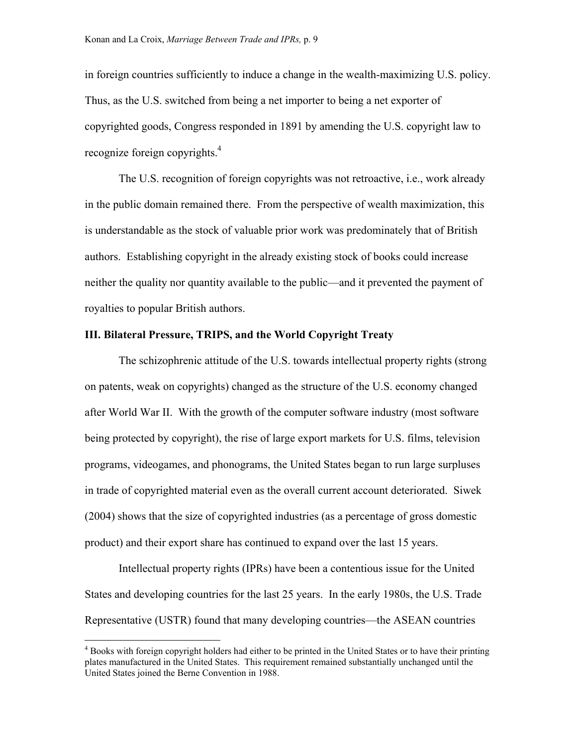in foreign countries sufficiently to induce a change in the wealth-maximizing U.S. policy. Thus, as the U.S. switched from being a net importer to being a net exporter of copyrighted goods, Congress responded in 1891 by amending the U.S. copyright law to recognize foreign copyrights.<sup>4</sup>

The U.S. recognition of foreign copyrights was not retroactive, i.e., work already in the public domain remained there. From the perspective of wealth maximization, this is understandable as the stock of valuable prior work was predominately that of British authors. Establishing copyright in the already existing stock of books could increase neither the quality nor quantity available to the public—and it prevented the payment of royalties to popular British authors.

#### **III. Bilateral Pressure, TRIPS, and the World Copyright Treaty**

The schizophrenic attitude of the U.S. towards intellectual property rights (strong on patents, weak on copyrights) changed as the structure of the U.S. economy changed after World War II. With the growth of the computer software industry (most software being protected by copyright), the rise of large export markets for U.S. films, television programs, videogames, and phonograms, the United States began to run large surpluses in trade of copyrighted material even as the overall current account deteriorated. Siwek (2004) shows that the size of copyrighted industries (as a percentage of gross domestic product) and their export share has continued to expand over the last 15 years.

Intellectual property rights (IPRs) have been a contentious issue for the United States and developing countries for the last 25 years. In the early 1980s, the U.S. Trade Representative (USTR) found that many developing countries—the ASEAN countries

<span id="page-9-0"></span><sup>&</sup>lt;sup>4</sup> Books with foreign copyright holders had either to be printed in the United States or to have their printing plates manufactured in the United States. This requirement remained substantially unchanged until the United States joined the Berne Convention in 1988.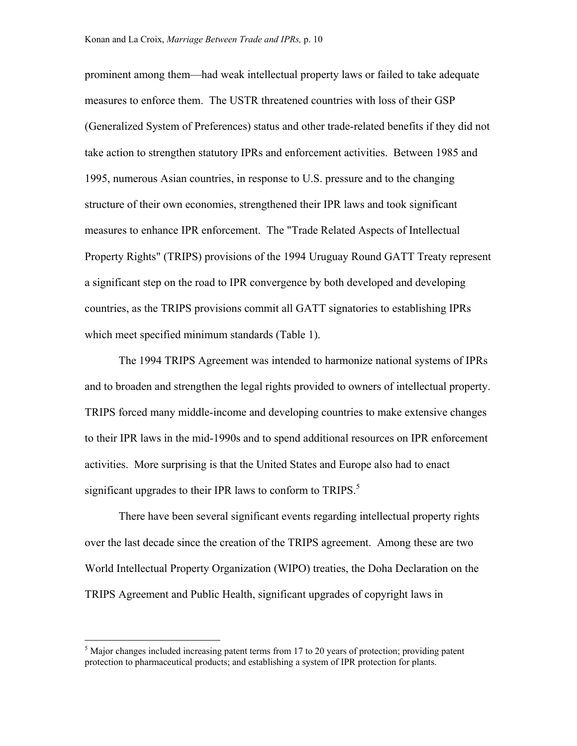prominent among them—had weak intellectual property laws or failed to take adequate measures to enforce them. The USTR threatened countries with loss of their GSP (Generalized System of Preferences) status and other trade-related benefits if they did not take action to strengthen statutory IPRs and enforcement activities. Between 1985 and 1995, numerous Asian countries, in response to U.S. pressure and to the changing structure of their own economies, strengthened their IPR laws and took significant measures to enhance IPR enforcement. The "Trade Related Aspects of Intellectual Property Rights" (TRIPS) provisions of the 1994 Uruguay Round GATT Treaty represent a significant step on the road to IPR convergence by both developed and developing countries, as the TRIPS provisions commit all GATT signatories to establishing IPRs which meet specified minimum standards (Table 1).

The 1994 TRIPS Agreement was intended to harmonize national systems of IPRs and to broaden and strengthen the legal rights provided to owners of intellectual property. TRIPS forced many middle-income and developing countries to make extensive changes to their IPR laws in the mid-1990s and to spend additional resources on IPR enforcement activities. More surprising is that the United States and Europe also had to enact significantupgrades to their IPR laws to conform to TRIPS.<sup>5</sup>

There have been several significant events regarding intellectual property rights over the last decade since the creation of the TRIPS agreement. Among these are two World Intellectual Property Organization (WIPO) treaties, the Doha Declaration on the TRIPS Agreement and Public Health, significant upgrades of copyright laws in

<span id="page-10-0"></span><sup>&</sup>lt;sup>5</sup> Major changes included increasing patent terms from 17 to 20 years of protection; providing patent protection to pharmaceutical products; and establishing a system of IPR protection for plants.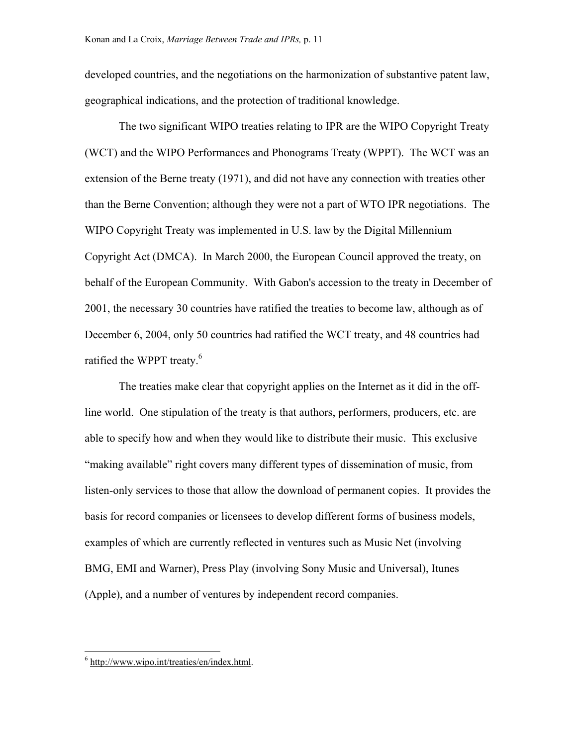developed countries, and the negotiations on the harmonization of substantive patent law, geographical indications, and the protection of traditional knowledge.

The two significant WIPO treaties relating to IPR are the WIPO Copyright Treaty (WCT) and the WIPO Performances and Phonograms Treaty (WPPT). The WCT was an extension of the Berne treaty (1971), and did not have any connection with treaties other than the Berne Convention; although they were not a part of WTO IPR negotiations. The WIPO Copyright Treaty was implemented in U.S. law by the Digital Millennium Copyright Act (DMCA). In March 2000, the European Council approved the treaty, on behalf of the European Community. With Gabon's accession to the treaty in December of 2001, the necessary 30 countries have ratified the treaties to become law, although as of December 6, 2004, only 50 countries had ratified the WCT treaty, and 48 countries had ratified the WPPT treaty.<sup>[6](#page-11-0)</sup>

The treaties make clear that copyright applies on the Internet as it did in the offline world. One stipulation of the treaty is that authors, performers, producers, etc. are able to specify how and when they would like to distribute their music. This exclusive "making available" right covers many different types of dissemination of music, from listen-only services to those that allow the download of permanent copies. It provides the basis for record companies or licensees to develop different forms of business models, examples of which are currently reflected in ventures such as Music Net (involving BMG, EMI and Warner), Press Play (involving Sony Music and Universal), Itunes (Apple), and a number of ventures by independent record companies.

<span id="page-11-0"></span><sup>&</sup>lt;sup>6</sup> h[ttp://www.wipo.int/treaties/en/index.html.](http://www.wipo.int/treaties/en/index.html)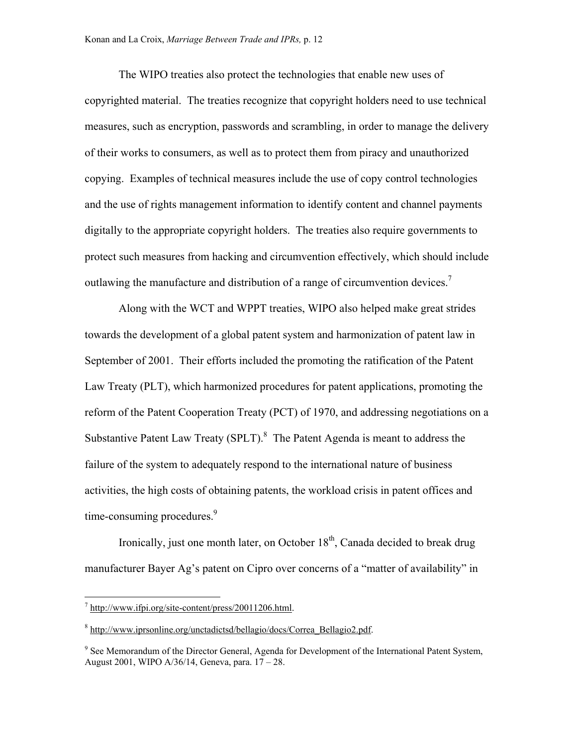The WIPO treaties also protect the technologies that enable new uses of copyrighted material. The treaties recognize that copyright holders need to use technical measures, such as encryption, passwords and scrambling, in order to manage the delivery of their works to consumers, as well as to protect them from piracy and unauthorized copying. Examples of technical measures include the use of copy control technologies and the use of rights management information to identify content and channel payments digitally to the appropriate copyright holders. The treaties also require governments to protect such measures from hacking and circumvention effectively, which should include outlawing the manufacture and distribution of a range of circumvention devices.<sup>[7](#page-12-0)</sup>

Along with the WCT and WPPT treaties, WIPO also helped make great strides towards the development of a global patent system and harmonization of patent law in September of 2001. Their efforts included the promoting the ratification of the Patent Law Treaty (PLT), which harmonized procedures for patent applications, promoting the reform of the Patent Cooperation Treaty (PCT) of 1970, and addressing negotiations on a Substantive Patent Law Treaty (SPLT). $8$  The Patent Agenda is meant to address the failure of the system to adequately respond to the international nature of business activities, the high costs of obtaining patents, the workload crisis in patent offices and time-consuming procedures.<sup>[9](#page-12-2)</sup>

Ironically, just one month later, on October  $18<sup>th</sup>$ , Canada decided to break drug manufacturer Bayer Ag's patent on Cipro over concerns of a "matter of availability" in

<u>.</u>

<span id="page-12-0"></span> $\frac{7 \text{ http://www.ifpi.org/site-content/press/20011206.html}}{2}$ .

<span id="page-12-1"></span><sup>&</sup>lt;sup>8</sup> h[ttp://www.iprsonline.org/unctadictsd/bellagio/docs/Correa\\_Bellagio2.pdf.](http://www.iprsonline.org/unctadictsd/bellagio/docs/Correa_Bellagio2.pdf)

<span id="page-12-2"></span><sup>&</sup>lt;sup>9</sup> See Memorandum of the Director General, Agenda for Development of the International Patent System, August 2001, WIPO A/36/14, Geneva, para. 17 – 28.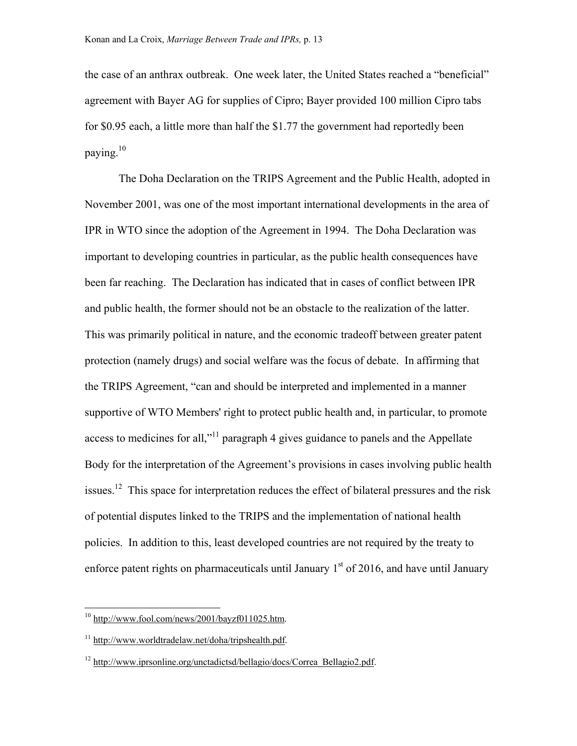the case of an anthrax outbreak. One week later, the United States reached a "beneficial" agreement with Bayer AG for supplies of Cipro; Bayer provided 100 million Cipro tabs for \$0.95 each, a little more than half the \$1.77 the government had reportedly been paying.[10](#page-13-0)

 The Doha Declaration on the TRIPS Agreement and the Public Health, adopted in November 2001, was one of the most important international developments in the area of IPR in WTO since the adoption of the Agreement in 1994. The Doha Declaration was important to developing countries in particular, as the public health consequences have been far reaching. The Declaration has indicated that in cases of conflict between IPR and public health, the former should not be an obstacle to the realization of the latter. This was primarily political in nature, and the economic tradeoff between greater patent protection (namely drugs) and social welfare was the focus of debate. In affirming that the TRIPS Agreement, "can and should be interpreted and implemented in a manner supportive of WTO Members' right to protect public health and, in particular, to promote access to medicines for all,"<sup>11</sup> paragraph 4 gives guidance to panels and the Appellate Body for the interpretation of the Agreement's provisions in cases involving public health issues.<sup>12</sup> This space for interpretation reduces the effect of bilateral pressures and the risk of potential disputes linked to the TRIPS and the implementation of national health policies. In addition to this, least developed countries are not required by the treaty to enforce patent rights on pharmaceuticals until January  $1<sup>st</sup>$  of 2016, and have until January

<span id="page-13-0"></span> $10$  [http://www.fool.com/news/2001/bayzf011025.htm.](http://www.fool.com/news/2001/bayzf011025.htm)

<span id="page-13-1"></span><sup>11</sup> http://www.wor[ldtradelaw.net/doha/tripshealth.pdf.](http://www.worldtradelaw.net/doha/tripshealth.pdf)

<span id="page-13-2"></span><sup>12</sup> [http://www.iprsonline.org/unctadictsd/bellagio/docs/Correa\\_Bellagio2.pdf](http://www.iprsonline.org/unctadictsd/bellagio/docs/Correa_Bellagio2.pdf).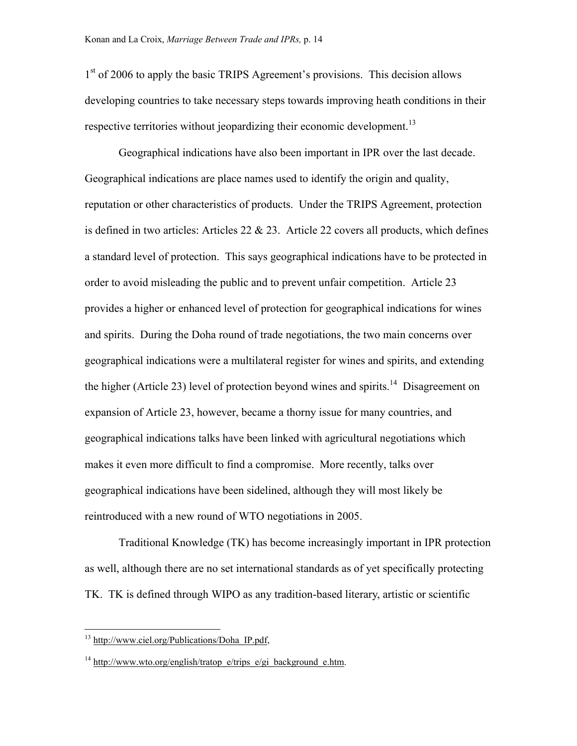1<sup>st</sup> of 2006 to apply the basic TRIPS Agreement's provisions. This decision allows developing countries to take necessary steps towards improving heath conditions in their respective territories without jeopardizing their economic development.<sup>13</sup>

Geographical indications have also been important in IPR over the last decade. Geographical indications are place names used to identify the origin and quality, reputation or other characteristics of products. Under the TRIPS Agreement, protection is defined in two articles: Articles  $22 \& 23$ . Article  $22$  covers all products, which defines a standard level of protection. This says geographical indications have to be protected in order to avoid misleading the public and to prevent unfair competition. Article 23 provides a higher or enhanced level of protection for geographical indications for wines and spirits. During the Doha round of trade negotiations, the two main concerns over geographical indications were a multilateral register for wines and spirits, and extending the higher (Article 23) level of protection beyond wines and spirits.<sup>14</sup> Disagreement on expansion of Article 23, however, became a thorny issue for many countries, and geographical indications talks have been linked with agricultural negotiations which makes it even more difficult to find a compromise. More recently, talks over geographical indications have been sidelined, although they will most likely be reintroduced with a new round of WTO negotiations in 2005.

Traditional Knowledge (TK) has become increasingly important in IPR protection as well, although there are no set international standards as of yet specifically protecting TK. TK is defined through WIPO as any tradition-based literary, artistic or scientific

<span id="page-14-0"></span> $13 \frac{\text{http://www.ciel.org/Publications/Doha IP.pdf}}{13}$ 

<span id="page-14-1"></span><sup>&</sup>lt;sup>14</sup> [http://www.wto.org/english/tratop\\_e/trips\\_e/gi\\_background\\_e.htm](http://www.wto.org/english/tratop_e/trips_e/gi_background_e.htm).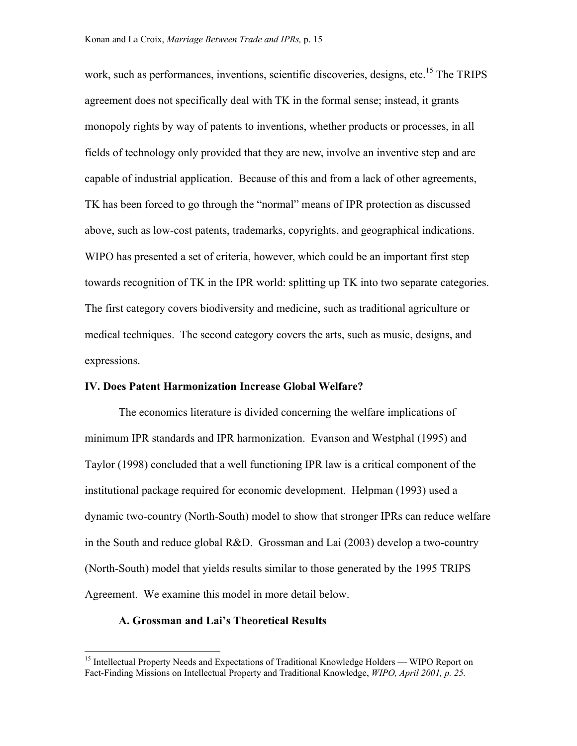work, such as performances, inventions, scientific discoveries, designs, etc.<sup>15</sup> The TRIPS agreement does not specifically deal with TK in the formal sense; instead, it grants monopoly rights by way of patents to inventions, whether products or processes, in all fields of technology only provided that they are new, involve an inventive step and are capable of industrial application. Because of this and from a lack of other agreements, TK has been forced to go through the "normal" means of IPR protection as discussed above, such as low-cost patents, trademarks, copyrights, and geographical indications. WIPO has presented a set of criteria, however, which could be an important first step towards recognition of TK in the IPR world: splitting up TK into two separate categories. The first category covers biodiversity and medicine, such as traditional agriculture or medical techniques. The second category covers the arts, such as music, designs, and expressions.

#### **IV. Does Patent Harmonization Increase Global Welfare?**

The economics literature is divided concerning the welfare implications of minimum IPR standards and IPR harmonization. Evanson and Westphal (1995) and Taylor (1998) concluded that a well functioning IPR law is a critical component of the institutional package required for economic development. Helpman (1993) used a dynamic two-country (North-South) model to show that stronger IPRs can reduce welfare in the South and reduce global R&D. Grossman and Lai (2003) develop a two-country (North-South) model that yields results similar to those generated by the 1995 TRIPS Agreement. We examine this model in more detail below.

#### **A. Grossman and Lai's Theoretical Results**

<span id="page-15-0"></span><sup>&</sup>lt;sup>15</sup> Intellectual Property Needs and Expectations of Traditional Knowledge Holders — WIPO Report on Fact-Finding Missions on Intellectual Property and Traditional Knowledge, *WIPO, April 2001, p. 25.*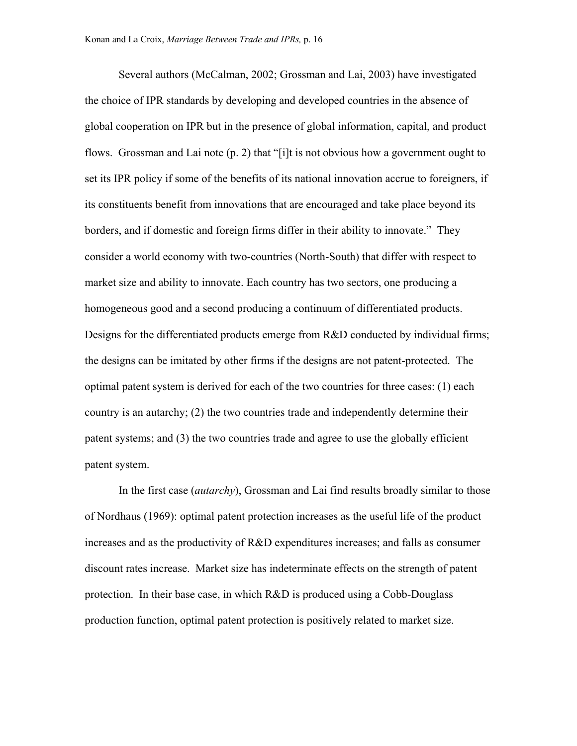Several authors (McCalman, 2002; Grossman and Lai, 2003) have investigated the choice of IPR standards by developing and developed countries in the absence of global cooperation on IPR but in the presence of global information, capital, and product flows. Grossman and Lai note (p. 2) that "[i]t is not obvious how a government ought to set its IPR policy if some of the benefits of its national innovation accrue to foreigners, if its constituents benefit from innovations that are encouraged and take place beyond its borders, and if domestic and foreign firms differ in their ability to innovate." They consider a world economy with two-countries (North-South) that differ with respect to market size and ability to innovate. Each country has two sectors, one producing a homogeneous good and a second producing a continuum of differentiated products. Designs for the differentiated products emerge from R&D conducted by individual firms; the designs can be imitated by other firms if the designs are not patent-protected. The optimal patent system is derived for each of the two countries for three cases: (1) each country is an autarchy; (2) the two countries trade and independently determine their patent systems; and (3) the two countries trade and agree to use the globally efficient patent system.

In the first case (*autarchy*), Grossman and Lai find results broadly similar to those of Nordhaus (1969): optimal patent protection increases as the useful life of the product increases and as the productivity of R&D expenditures increases; and falls as consumer discount rates increase. Market size has indeterminate effects on the strength of patent protection. In their base case, in which R&D is produced using a Cobb-Douglass production function, optimal patent protection is positively related to market size.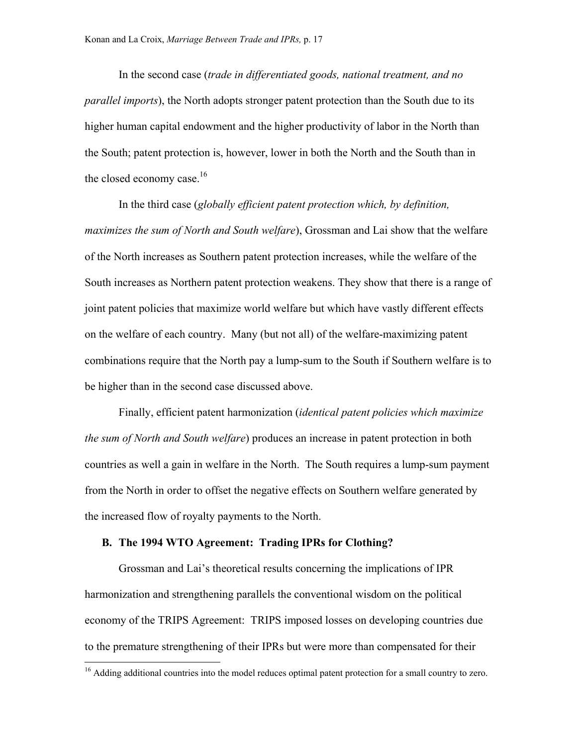In the second case (*trade in differentiated goods, national treatment, and no parallel imports*), the North adopts stronger patent protection than the South due to its higher human capital endowment and the higher productivity of labor in the North than the South; patent protection is, however, lower in both the North and the South than in the closed economy case.<sup>16</sup>

In the third case (*globally efficient patent protection which, by definition, maximizes the sum of North and South welfare*), Grossman and Lai show that the welfare of the North increases as Southern patent protection increases, while the welfare of the South increases as Northern patent protection weakens. They show that there is a range of joint patent policies that maximize world welfare but which have vastly different effects on the welfare of each country. Many (but not all) of the welfare-maximizing patent combinations require that the North pay a lump-sum to the South if Southern welfare is to be higher than in the second case discussed above.

Finally, efficient patent harmonization (*identical patent policies which maximize the sum of North and South welfare*) produces an increase in patent protection in both countries as well a gain in welfare in the North. The South requires a lump-sum payment from the North in order to offset the negative effects on Southern welfare generated by the increased flow of royalty payments to the North.

#### **B. The 1994 WTO Agreement: Trading IPRs for Clothing?**

<u>.</u>

Grossman and Lai's theoretical results concerning the implications of IPR harmonization and strengthening parallels the conventional wisdom on the political economy of the TRIPS Agreement: TRIPS imposed losses on developing countries due to the premature strengthening of their IPRs but were more than compensated for their

<span id="page-17-0"></span><sup>&</sup>lt;sup>16</sup> Adding additional countries into the model reduces optimal patent protection for a small country to zero.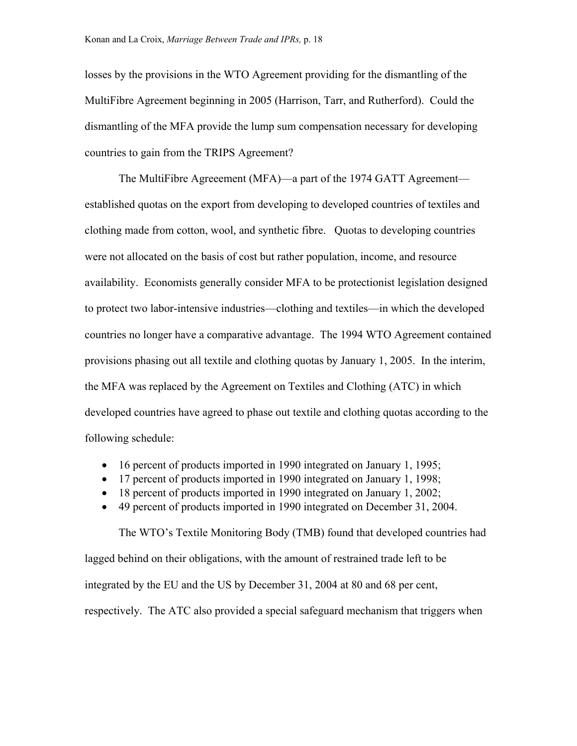losses by the provisions in the WTO Agreement providing for the dismantling of the MultiFibre Agreement beginning in 2005 (Harrison, Tarr, and Rutherford). Could the dismantling of the MFA provide the lump sum compensation necessary for developing countries to gain from the TRIPS Agreement?

The MultiFibre Agreeement (MFA)—a part of the 1974 GATT Agreement established quotas on the export from developing to developed countries of textiles and clothing made from cotton, wool, and synthetic fibre. Quotas to developing countries were not allocated on the basis of cost but rather population, income, and resource availability. Economists generally consider MFA to be protectionist legislation designed to protect two labor-intensive industries—clothing and textiles—in which the developed countries no longer have a comparative advantage. The 1994 WTO Agreement contained provisions phasing out all textile and clothing quotas by January 1, 2005. In the interim, the MFA was replaced by the Agreement on Textiles and Clothing (ATC) in which developed countries have agreed to phase out textile and clothing quotas according to the following schedule:

- 16 percent of products imported in 1990 integrated on January 1, 1995;
- 17 percent of products imported in 1990 integrated on January 1, 1998;
- 18 percent of products imported in 1990 integrated on January 1, 2002;
- 49 percent of products imported in 1990 integrated on December 31, 2004.

The WTO's Textile Monitoring Body (TMB) found that developed countries had lagged behind on their obligations, with the amount of restrained trade left to be integrated by the EU and the US by December 31, 2004 at 80 and 68 per cent, respectively. The ATC also provided a special safeguard mechanism that triggers when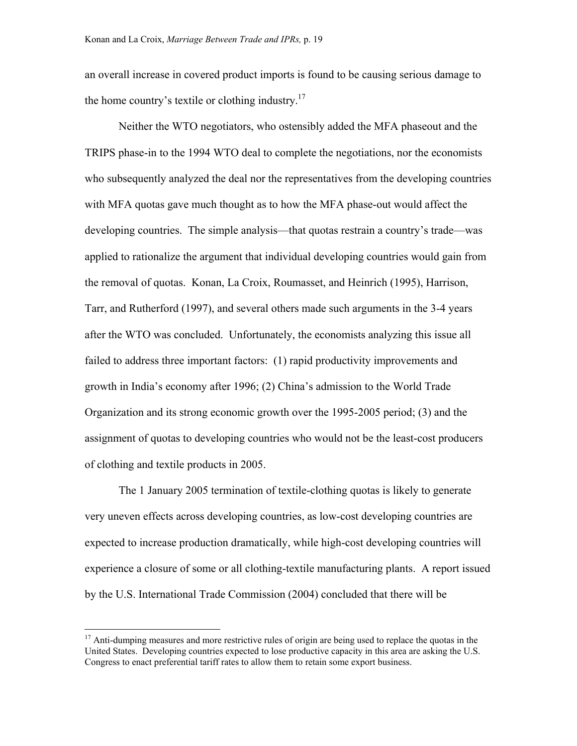an overall increase in covered product imports is found to be causing serious damage to the home country's textile or clothing industry.<sup>17</sup>

Neither the WTO negotiators, who ostensibly added the MFA phaseout and the TRIPS phase-in to the 1994 WTO deal to complete the negotiations, nor the economists who subsequently analyzed the deal nor the representatives from the developing countries with MFA quotas gave much thought as to how the MFA phase-out would affect the developing countries. The simple analysis—that quotas restrain a country's trade—was applied to rationalize the argument that individual developing countries would gain from the removal of quotas. Konan, La Croix, Roumasset, and Heinrich (1995), Harrison, Tarr, and Rutherford (1997), and several others made such arguments in the 3-4 years after the WTO was concluded. Unfortunately, the economists analyzing this issue all failed to address three important factors: (1) rapid productivity improvements and growth in India's economy after 1996; (2) China's admission to the World Trade Organization and its strong economic growth over the 1995-2005 period; (3) and the assignment of quotas to developing countries who would not be the least-cost producers of clothing and textile products in 2005.

The 1 January 2005 termination of textile-clothing quotas is likely to generate very uneven effects across developing countries, as low-cost developing countries are expected to increase production dramatically, while high-cost developing countries will experience a closure of some or all clothing-textile manufacturing plants. A report issued by the U.S. International Trade Commission (2004) concluded that there will be

<span id="page-19-0"></span><sup>&</sup>lt;sup>17</sup> Anti-dumping measures and more restrictive rules of origin are being used to replace the quotas in the United States. Developing countries expected to lose productive capacity in this area are asking the U.S. Congress to enact preferential tariff rates to allow them to retain some export business.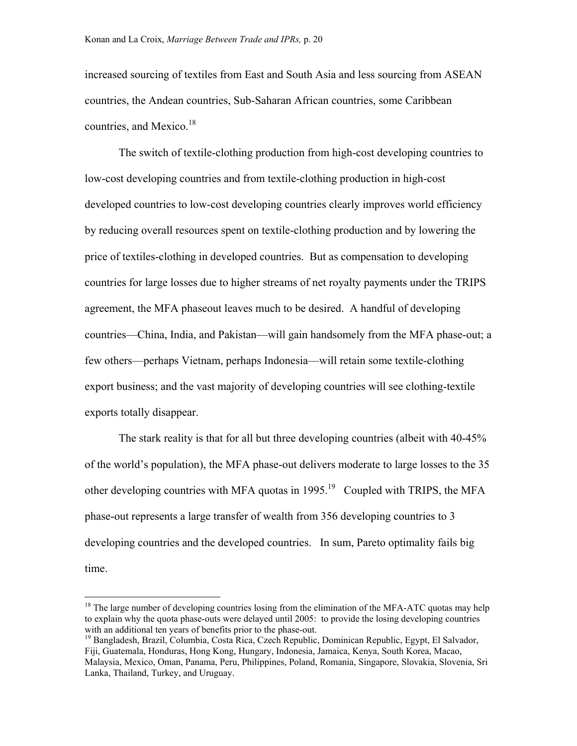increased sourcing of textiles from East and South Asia and less sourcing from ASEAN countries, the Andean countries, Sub-Saharan African countries, some Caribbean countries, and Mexico. $18$ 

The switch of textile-clothing production from high-cost developing countries to low-cost developing countries and from textile-clothing production in high-cost developed countries to low-cost developing countries clearly improves world efficiency by reducing overall resources spent on textile-clothing production and by lowering the price of textiles-clothing in developed countries. But as compensation to developing countries for large losses due to higher streams of net royalty payments under the TRIPS agreement, the MFA phaseout leaves much to be desired. A handful of developing countries—China, India, and Pakistan—will gain handsomely from the MFA phase-out; a few others—perhaps Vietnam, perhaps Indonesia—will retain some textile-clothing export business; and the vast majority of developing countries will see clothing-textile exports totally disappear.

The stark reality is that for all but three developing countries (albeit with 40-45% of the world's population), the MFA phase-out delivers moderate to large losses to the 35 other developing countries with MFA quotas in  $1995$ <sup>19</sup> Coupled with TRIPS, the MFA phase-out represents a large transfer of wealth from 356 developing countries to 3 developing countries and the developed countries. In sum, Pareto optimality fails big time.

<span id="page-20-0"></span> $18$  The large number of developing countries losing from the elimination of the MFA-ATC quotas may help to explain why the quota phase-outs were delayed until 2005: to provide the losing developing countries with an additional ten years of benefits prior to the phase-out.<br><sup>19</sup> Bangladesh, Brazil, Columbia, Costa Rica, Czech Republic, Dominican Republic, Egypt, El Salvador,

<span id="page-20-1"></span>Fiji, Guatemala, Honduras, Hong Kong, Hungary, Indonesia, Jamaica, Kenya, South Korea, Macao, Malaysia, Mexico, Oman, Panama, Peru, Philippines, Poland, Romania, Singapore, Slovakia, Slovenia, Sri Lanka, Thailand, Turkey, and Uruguay.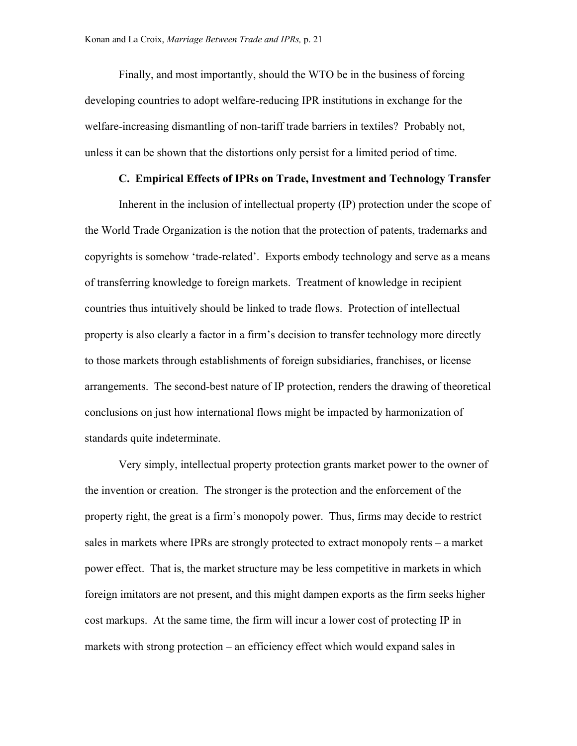Finally, and most importantly, should the WTO be in the business of forcing developing countries to adopt welfare-reducing IPR institutions in exchange for the welfare-increasing dismantling of non-tariff trade barriers in textiles? Probably not, unless it can be shown that the distortions only persist for a limited period of time.

### **C. Empirical Effects of IPRs on Trade, Investment and Technology Transfer**

Inherent in the inclusion of intellectual property (IP) protection under the scope of the World Trade Organization is the notion that the protection of patents, trademarks and copyrights is somehow 'trade-related'. Exports embody technology and serve as a means of transferring knowledge to foreign markets. Treatment of knowledge in recipient countries thus intuitively should be linked to trade flows. Protection of intellectual property is also clearly a factor in a firm's decision to transfer technology more directly to those markets through establishments of foreign subsidiaries, franchises, or license arrangements. The second-best nature of IP protection, renders the drawing of theoretical conclusions on just how international flows might be impacted by harmonization of standards quite indeterminate.

Very simply, intellectual property protection grants market power to the owner of the invention or creation. The stronger is the protection and the enforcement of the property right, the great is a firm's monopoly power. Thus, firms may decide to restrict sales in markets where IPRs are strongly protected to extract monopoly rents – a market power effect. That is, the market structure may be less competitive in markets in which foreign imitators are not present, and this might dampen exports as the firm seeks higher cost markups. At the same time, the firm will incur a lower cost of protecting IP in markets with strong protection – an efficiency effect which would expand sales in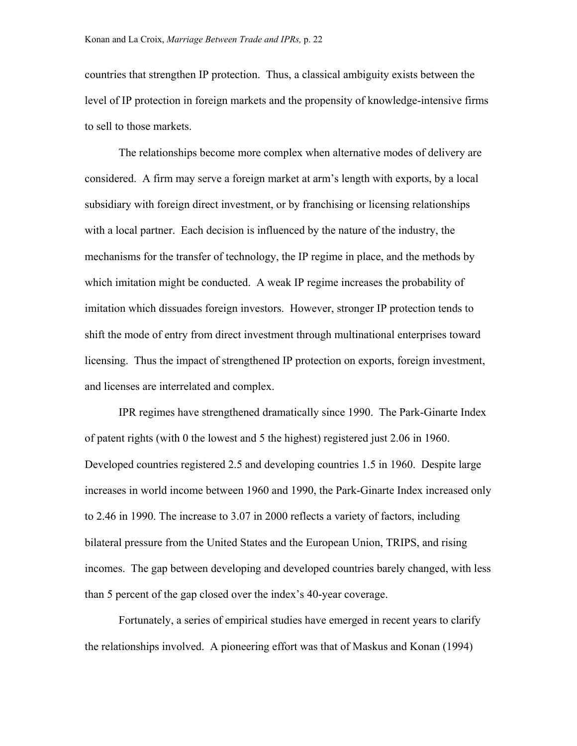countries that strengthen IP protection. Thus, a classical ambiguity exists between the level of IP protection in foreign markets and the propensity of knowledge-intensive firms to sell to those markets.

The relationships become more complex when alternative modes of delivery are considered. A firm may serve a foreign market at arm's length with exports, by a local subsidiary with foreign direct investment, or by franchising or licensing relationships with a local partner. Each decision is influenced by the nature of the industry, the mechanisms for the transfer of technology, the IP regime in place, and the methods by which imitation might be conducted. A weak IP regime increases the probability of imitation which dissuades foreign investors. However, stronger IP protection tends to shift the mode of entry from direct investment through multinational enterprises toward licensing. Thus the impact of strengthened IP protection on exports, foreign investment, and licenses are interrelated and complex.

IPR regimes have strengthened dramatically since 1990. The Park-Ginarte Index of patent rights (with 0 the lowest and 5 the highest) registered just 2.06 in 1960. Developed countries registered 2.5 and developing countries 1.5 in 1960. Despite large increases in world income between 1960 and 1990, the Park-Ginarte Index increased only to 2.46 in 1990. The increase to 3.07 in 2000 reflects a variety of factors, including bilateral pressure from the United States and the European Union, TRIPS, and rising incomes. The gap between developing and developed countries barely changed, with less than 5 percent of the gap closed over the index's 40-year coverage.

Fortunately, a series of empirical studies have emerged in recent years to clarify the relationships involved. A pioneering effort was that of Maskus and Konan (1994)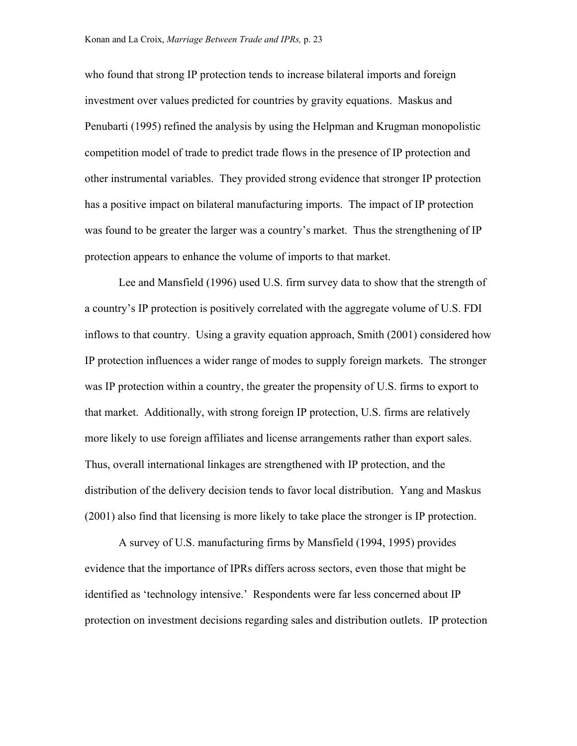who found that strong IP protection tends to increase bilateral imports and foreign investment over values predicted for countries by gravity equations. Maskus and Penubarti (1995) refined the analysis by using the Helpman and Krugman monopolistic competition model of trade to predict trade flows in the presence of IP protection and other instrumental variables. They provided strong evidence that stronger IP protection has a positive impact on bilateral manufacturing imports. The impact of IP protection was found to be greater the larger was a country's market. Thus the strengthening of IP protection appears to enhance the volume of imports to that market.

Lee and Mansfield (1996) used U.S. firm survey data to show that the strength of a country's IP protection is positively correlated with the aggregate volume of U.S. FDI inflows to that country. Using a gravity equation approach, Smith (2001) considered how IP protection influences a wider range of modes to supply foreign markets. The stronger was IP protection within a country, the greater the propensity of U.S. firms to export to that market. Additionally, with strong foreign IP protection, U.S. firms are relatively more likely to use foreign affiliates and license arrangements rather than export sales. Thus, overall international linkages are strengthened with IP protection, and the distribution of the delivery decision tends to favor local distribution. Yang and Maskus (2001) also find that licensing is more likely to take place the stronger is IP protection.

A survey of U.S. manufacturing firms by Mansfield (1994, 1995) provides evidence that the importance of IPRs differs across sectors, even those that might be identified as 'technology intensive.' Respondents were far less concerned about IP protection on investment decisions regarding sales and distribution outlets. IP protection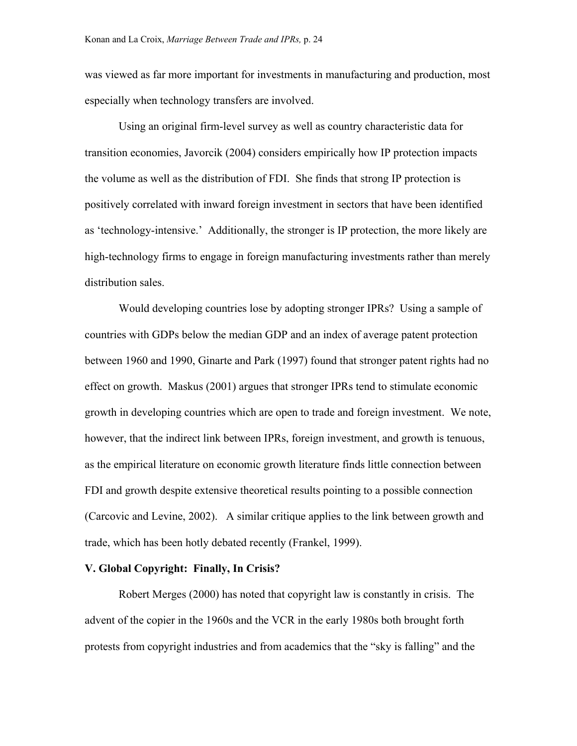was viewed as far more important for investments in manufacturing and production, most especially when technology transfers are involved.

Using an original firm-level survey as well as country characteristic data for transition economies, Javorcik (2004) considers empirically how IP protection impacts the volume as well as the distribution of FDI. She finds that strong IP protection is positively correlated with inward foreign investment in sectors that have been identified as 'technology-intensive.' Additionally, the stronger is IP protection, the more likely are high-technology firms to engage in foreign manufacturing investments rather than merely distribution sales.

Would developing countries lose by adopting stronger IPRs? Using a sample of countries with GDPs below the median GDP and an index of average patent protection between 1960 and 1990, Ginarte and Park (1997) found that stronger patent rights had no effect on growth. Maskus (2001) argues that stronger IPRs tend to stimulate economic growth in developing countries which are open to trade and foreign investment. We note, however, that the indirect link between IPRs, foreign investment, and growth is tenuous, as the empirical literature on economic growth literature finds little connection between FDI and growth despite extensive theoretical results pointing to a possible connection (Carcovic and Levine, 2002). A similar critique applies to the link between growth and trade, which has been hotly debated recently (Frankel, 1999).

#### **V. Global Copyright: Finally, In Crisis?**

Robert Merges (2000) has noted that copyright law is constantly in crisis. The advent of the copier in the 1960s and the VCR in the early 1980s both brought forth protests from copyright industries and from academics that the "sky is falling" and the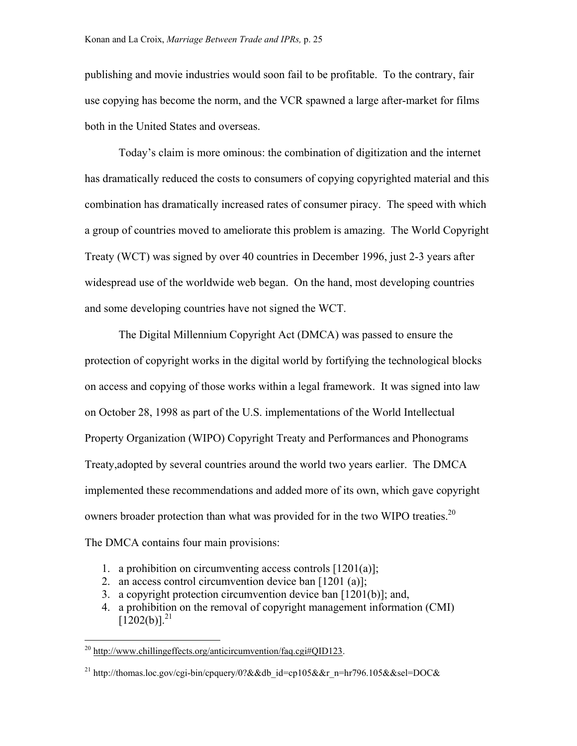publishing and movie industries would soon fail to be profitable. To the contrary, fair use copying has become the norm, and the VCR spawned a large after-market for films both in the United States and overseas.

Today's claim is more ominous: the combination of digitization and the internet has dramatically reduced the costs to consumers of copying copyrighted material and this combination has dramatically increased rates of consumer piracy. The speed with which a group of countries moved to ameliorate this problem is amazing. The World Copyright Treaty (WCT) was signed by over 40 countries in December 1996, just 2-3 years after widespread use of the worldwide web began. On the hand, most developing countries and some developing countries have not signed the WCT.

The Digital Millennium Copyright Act (DMCA) was passed to ensure the protection of copyright works in the digital world by fortifying the technological blocks on access and copying of those works within a legal framework. It was signed into law on October 28, 1998 as part of the U.S. implementations of the World Intellectual Property Organization (WIPO) Copyright Treaty and Performances and Phonograms Treaty,adopted by several countries around the world two years earlier. The DMCA implemented these recommendations and added more of its own, which gave copyright owners broader protection than what was provided for in the two WIPO treaties.<sup>[20](#page-25-0)</sup> The DMCA contains four main provisions:

- 1. a prohibition on circumventing access controls  $[1201(a)]$ ;
- 2. an access control circumvention device ban [1201 (a)];
- 3. a copyright protection circumvention device ban [1201(b)]; and,
- 4. a prohibition on the removal of copyright management information (CMI)  $[1202(b)]^{21}$  $[1202(b)]^{21}$  $[1202(b)]^{21}$

<span id="page-25-0"></span> $^{20}$  [http://www.chillingeffects.org/anticircumvention/faq.cgi#QID123.](http://www.chillingeffects.org/anticircumvention/faq.cgi)

<span id="page-25-1"></span><sup>&</sup>lt;sup>21</sup> http://thomas.loc.gov/cgi-bin/cpquery/0?&&db\_id=cp105&&r\_n=hr796.105&&sel=DOC&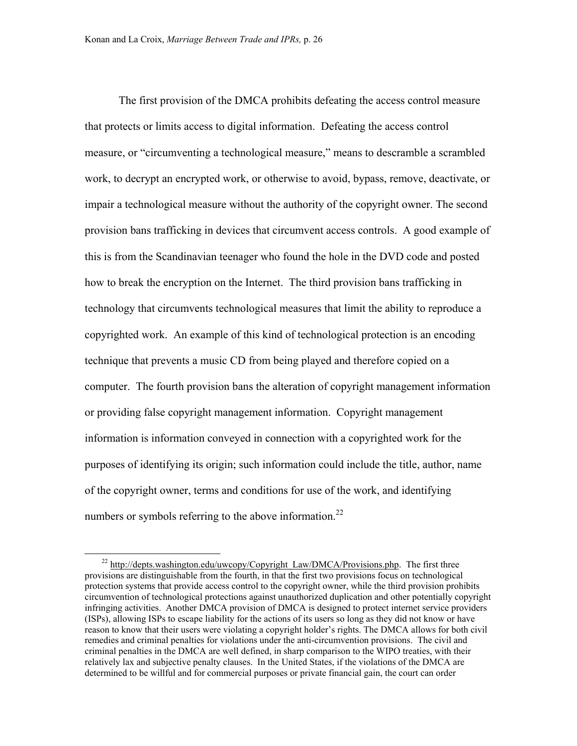<span id="page-26-0"></span>The first provision of the DMCA prohibits defeating the access control measure that protects or limits access to digital information. Defeating the access control measure, or "circumventing a technological measure," means to descramble a scrambled work, to decrypt an encrypted work, or otherwise to avoid, bypass, remove, deactivate, or impair a technological measure without the authority of the copyright owner. The second provision bans trafficking in devices that circumvent access controls. A good example of this is from the Scandinavian teenager who found the hole in the DVD code and posted how to break the encryption on the Internet. The third provision bans trafficking in technology that circumvents technological measures that limit the ability to reproduce a copyrighted work. An example of this kind of technological protection is an encoding technique that prevents a music CD from being played and therefore copied on a computer. The fourth provision bans the alteration of copyright management information or providing false copyright management information. Copyright management information is information conveyed in connection with a copyrighted work for the purposes of identifying its origin; such information could include the title, author, name of the copyright owner, terms and conditions for use of the work, and identifying numbers or symbols referring to the above information.<sup>[22](#page-26-0)</sup>

<sup>&</sup>lt;sup>22</sup> [http://depts.washington.edu/uwcopy/Copyright\\_Law/DMCA/Provisions.php](http://depts.washington.edu/uwcopy/Copyright_Law/DMCA/Provisions.php). The first three provisions are distinguishable from the fourth, in that the first two provisions focus on technological protection systems that provide access control to the copyright owner, while the third provision prohibits circumvention of technological protections against unauthorized duplication and other potentially copyright infringing activities. Another DMCA provision of DMCA is designed to protect internet service providers (ISPs), allowing ISPs to escape liability for the actions of its users so long as they did not know or have reason to know that their users were violating a copyright holder's rights. The DMCA allows for both civil remedies and criminal penalties for violations under the anti-circumvention provisions. The civil and criminal penalties in the DMCA are well defined, in sharp comparison to the WIPO treaties, with their relatively lax and subjective penalty clauses. In the United States, if the violations of the DMCA are determined to be willful and for commercial purposes or private financial gain, the court can order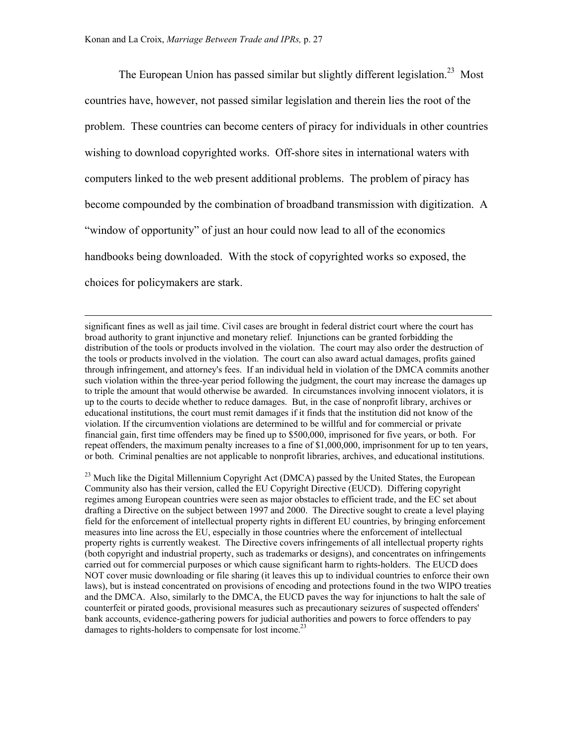The European Union has passed similar but slightly different legislation.<sup>23</sup> Most countries have, however, not passed similar legislation and therein lies the root of the problem. These countries can become centers of piracy for individuals in other countries wishing to download copyrighted works. Off-shore sites in international waters with computers linked to the web present additional problems. The problem of piracy has become compounded by the combination of broadband transmission with digitization. A "window of opportunity" of just an hour could now lead to all of the economics handbooks being downloaded. With the stock of copyrighted works so exposed, the choices for policymakers are stark.

 significant fines as well as jail time. Civil cases are brought in federal district court where the court has broad authority to grant injunctive and monetary relief. Injunctions can be granted forbidding the distribution of the tools or products involved in the violation. The court may also order the destruction of the tools or products involved in the violation. The court can also award actual damages, profits gained through infringement, and attorney's fees. If an individual held in violation of the DMCA commits another such violation within the three-year period following the judgment, the court may increase the damages up to triple the amount that would otherwise be awarded. In circumstances involving innocent violators, it is up to the courts to decide whether to reduce damages. But, in the case of nonprofit library, archives or educational institutions, the court must remit damages if it finds that the institution did not know of the violation. If the circumvention violations are determined to be willful and for commercial or private financial gain, first time offenders may be fined up to \$500,000, imprisoned for five years, or both. For repeat offenders, the maximum penalty increases to a fine of \$1,000,000, imprisonment for up to ten years, or both. Criminal penalties are not applicable to nonprofit libraries, archives, and educational institutions.

<span id="page-27-0"></span><sup>23</sup> Much like the Digital Millennium Copyright Act (DMCA) passed by the United States, the European Community also has their version, called the EU Copyright Directive (EUCD). Differing copyright regimes among European countries were seen as major obstacles to efficient trade, and the EC set about drafting a Directive on the subject between 1997 and 2000. The Directive sought to create a level playing field for the enforcement of intellectual property rights in different EU countries, by bringing enforcement measures into line across the EU, especially in those countries where the enforcement of intellectual property rights is currently weakest. The Directive covers infringements of all intellectual property rights (both copyright and industrial property, such as trademarks or designs), and concentrates on infringements carried out for commercial purposes or which cause significant harm to rights-holders. The EUCD does NOT cover music downloading or file sharing (it leaves this up to individual countries to enforce their own laws), but is instead concentrated on provisions of encoding and protections found in the two WIPO treaties and the DMCA. Also, similarly to the DMCA, the EUCD paves the way for injunctions to halt the sale of counterfeit or pirated goods, provisional measures such as precautionary seizures of suspected offenders' bank accounts, evidence-gathering powers for judicial authorities and powers to force offenders to pay damages to rights-holders to compensate for lost income.<sup>23</sup>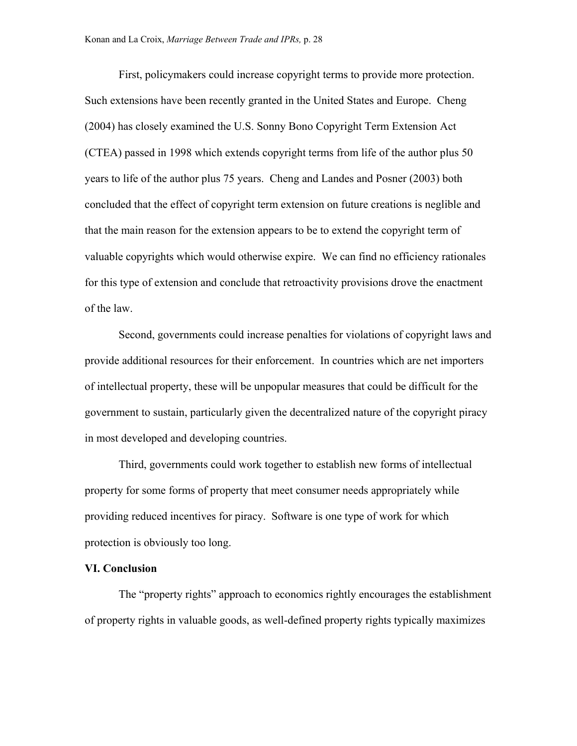First, policymakers could increase copyright terms to provide more protection. Such extensions have been recently granted in the United States and Europe. Cheng (2004) has closely examined the U.S. Sonny Bono Copyright Term Extension Act (CTEA) passed in 1998 which extends copyright terms from life of the author plus 50 years to life of the author plus 75 years. Cheng and Landes and Posner (2003) both concluded that the effect of copyright term extension on future creations is neglible and that the main reason for the extension appears to be to extend the copyright term of valuable copyrights which would otherwise expire. We can find no efficiency rationales for this type of extension and conclude that retroactivity provisions drove the enactment of the law.

Second, governments could increase penalties for violations of copyright laws and provide additional resources for their enforcement. In countries which are net importers of intellectual property, these will be unpopular measures that could be difficult for the government to sustain, particularly given the decentralized nature of the copyright piracy in most developed and developing countries.

Third, governments could work together to establish new forms of intellectual property for some forms of property that meet consumer needs appropriately while providing reduced incentives for piracy. Software is one type of work for which protection is obviously too long.

#### **VI. Conclusion**

The "property rights" approach to economics rightly encourages the establishment of property rights in valuable goods, as well-defined property rights typically maximizes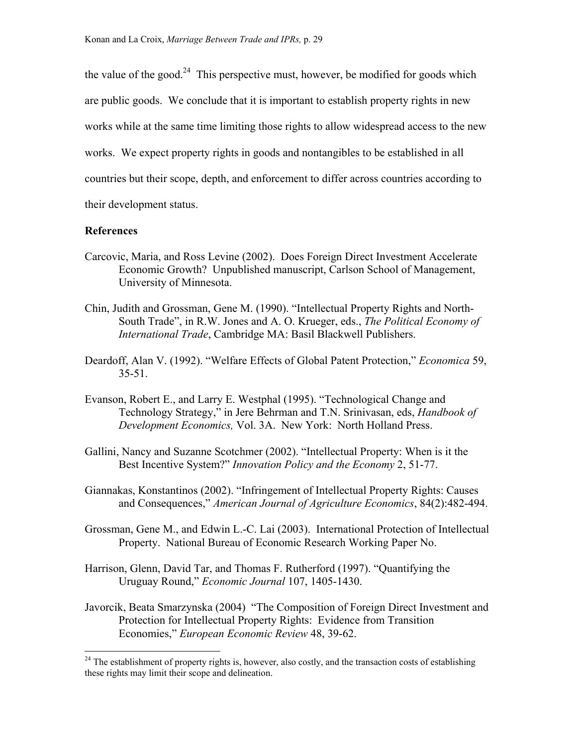the value of the good. $24$  This perspective must, however, be modified for goods which are public goods. We conclude that it is important to establish property rights in new works while at the same time limiting those rights to allow widespread access to the new works. We expect property rights in goods and nontangibles to be established in all countries but their scope, depth, and enforcement to differ across countries according to their development status.

### **References**

- Carcovic, Maria, and Ross Levine (2002). Does Foreign Direct Investment Accelerate Economic Growth? Unpublished manuscript, Carlson School of Management, University of Minnesota.
- Chin, Judith and Grossman, Gene M. (1990). "Intellectual Property Rights and North-South Trade", in R.W. Jones and A. O. Krueger, eds., *The Political Economy of International Trade*, Cambridge MA: Basil Blackwell Publishers.
- Deardoff, Alan V. (1992). "Welfare Effects of Global Patent Protection," *Economica* 59, 35-51.
- Evanson, Robert E., and Larry E. Westphal (1995). "Technological Change and Technology Strategy," in Jere Behrman and T.N. Srinivasan, eds, *Handbook of Development Economics,* Vol. 3A. New York: North Holland Press.
- Gallini, Nancy and Suzanne Scotchmer (2002). "Intellectual Property: When is it the Best Incentive System?" *Innovation Policy and the Economy* 2, 51-77.
- Giannakas, Konstantinos (2002). "Infringement of Intellectual Property Rights: Causes and Consequences," *American Journal of Agriculture Economics*, 84(2):482-494.
- Grossman, Gene M., and Edwin L.-C. Lai (2003). International Protection of Intellectual Property. National Bureau of Economic Research Working Paper No.
- Harrison, Glenn, David Tar, and Thomas F. Rutherford (1997). "Quantifying the Uruguay Round," *Economic Journal* 107, 1405-1430.
- Javorcik, Beata Smarzynska (2004) "The Composition of Foreign Direct Investment and Protection for Intellectual Property Rights: Evidence from Transition Economies," *European Economic Review* 48, 39-62.

<span id="page-29-0"></span> $24$  The establishment of property rights is, however, also costly, and the transaction costs of establishing these rights may limit their scope and delineation.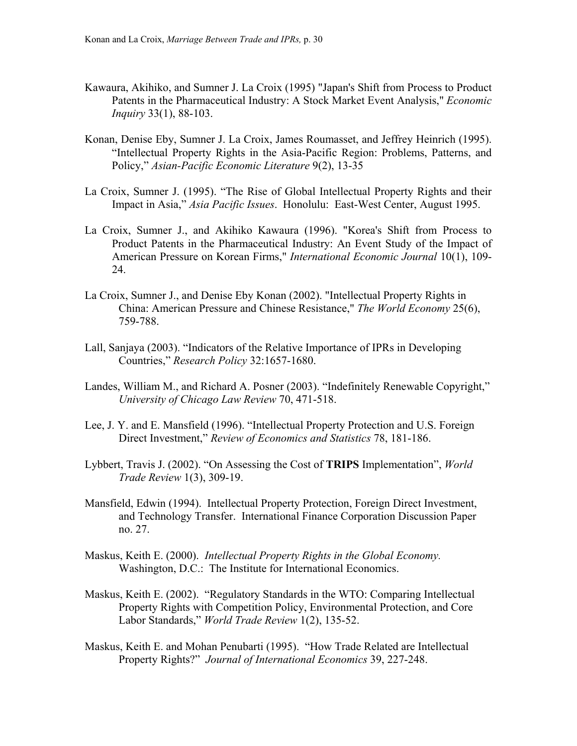- Kawaura, Akihiko, and Sumner J. La Croix (1995) "Japan's Shift from Process to Product Patents in the Pharmaceutical Industry: A Stock Market Event Analysis," *Economic Inquiry* 33(1), 88-103.
- Konan, Denise Eby, Sumner J. La Croix, James Roumasset, and Jeffrey Heinrich (1995). "Intellectual Property Rights in the Asia-Pacific Region: Problems, Patterns, and Policy," *Asian-Pacific Economic Literature* 9(2), 13-35
- La Croix, Sumner J. (1995). "The Rise of Global Intellectual Property Rights and their Impact in Asia," *Asia Pacific Issues*. Honolulu: East-West Center, August 1995.
- La Croix, Sumner J., and Akihiko Kawaura (1996). "Korea's Shift from Process to Product Patents in the Pharmaceutical Industry: An Event Study of the Impact of American Pressure on Korean Firms," *International Economic Journal* 10(1), 109- 24.
- La Croix, Sumner J., and Denise Eby Konan (2002). "Intellectual Property Rights in China: American Pressure and Chinese Resistance," *The World Economy* 25(6), 759-788.
- Lall, Sanjaya (2003). "Indicators of the Relative Importance of IPRs in Developing Countries," *Research Policy* 32:1657-1680.
- Landes, William M., and Richard A. Posner (2003). "Indefinitely Renewable Copyright," *University of Chicago Law Review* 70, 471-518.
- Lee, J. Y. and E. Mansfield (1996). "Intellectual Property Protection and U.S. Foreign Direct Investment," *Review of Economics and Statistics* 78, 181-186.
- Lybbert, Travis J. (2002). "On Assessing the Cost of **TRIPS** Implementation", *World Trade Review* 1(3), 309-19.
- Mansfield, Edwin (1994). Intellectual Property Protection, Foreign Direct Investment, and Technology Transfer. International Finance Corporation Discussion Paper no. 27.
- Maskus, Keith E. (2000). *Intellectual Property Rights in the Global Economy.* Washington, D.C.: The Institute for International Economics.
- Maskus, Keith E. (2002). "Regulatory Standards in the WTO: Comparing Intellectual Property Rights with Competition Policy, Environmental Protection, and Core Labor Standards," *World Trade Review* 1(2), 135-52.
- Maskus, Keith E. and Mohan Penubarti (1995). "How Trade Related are Intellectual Property Rights?" *Journal of International Economics* 39, 227-248.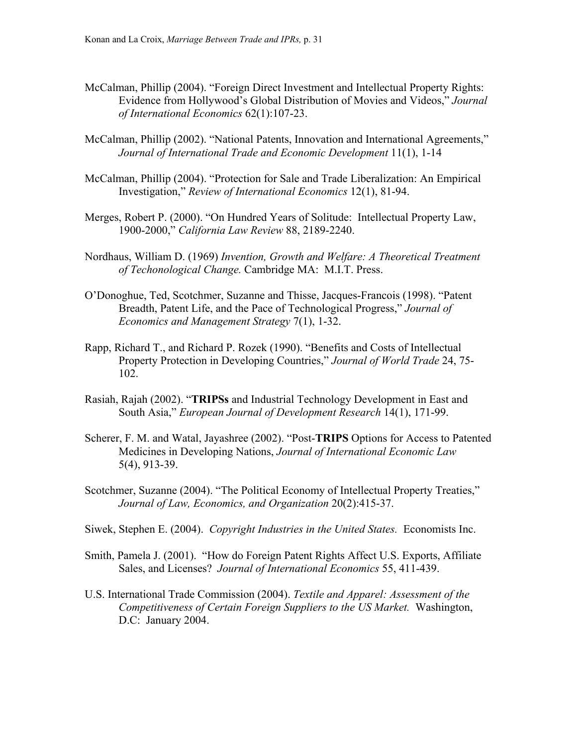- McCalman, Phillip (2004). "Foreign Direct Investment and Intellectual Property Rights: Evidence from Hollywood's Global Distribution of Movies and Videos," *Journal of International Economics* 62(1):107-23.
- McCalman, Phillip (2002). "National Patents, Innovation and International Agreements," *Journal of International Trade and Economic Development* 11(1), 1-14
- McCalman, Phillip (2004). "Protection for Sale and Trade Liberalization: An Empirical Investigation," *Review of International Economics* 12(1), 81-94.
- Merges, Robert P. (2000). "On Hundred Years of Solitude: Intellectual Property Law, 1900-2000," *California Law Review* 88, 2189-2240.
- Nordhaus, William D. (1969) *Invention, Growth and Welfare: A Theoretical Treatment of Techonological Change.* Cambridge MA: M.I.T. Press.
- O'Donoghue, Ted, Scotchmer, Suzanne and Thisse, Jacques-Francois (1998). "Patent Breadth, Patent Life, and the Pace of Technological Progress," *Journal of Economics and Management Strategy* 7(1), 1-32.
- Rapp, Richard T., and Richard P. Rozek (1990). "Benefits and Costs of Intellectual Property Protection in Developing Countries," *Journal of World Trade* 24, 75- 102.
- Rasiah, Rajah (2002). "**TRIPSs** and Industrial Technology Development in East and South Asia," *European Journal of Development Research* 14(1), 171-99.
- Scherer, F. M. and Watal, Jayashree (2002). "Post-**TRIPS** Options for Access to Patented Medicines in Developing Nations, *Journal of International Economic Law* 5(4), 913-39.
- Scotchmer, Suzanne (2004). "The Political Economy of Intellectual Property Treaties," *Journal of Law, Economics, and Organization* 20(2):415-37.
- Siwek, Stephen E. (2004). *Copyright Industries in the United States.* Economists Inc.
- Smith, Pamela J. (2001). "How do Foreign Patent Rights Affect U.S. Exports, Affiliate Sales, and Licenses? *Journal of International Economics* 55, 411-439.
- U.S. International Trade Commission (2004). *Textile and Apparel: Assessment of the Competitiveness of Certain Foreign Suppliers to the US Market.* Washington, D.C: January 2004.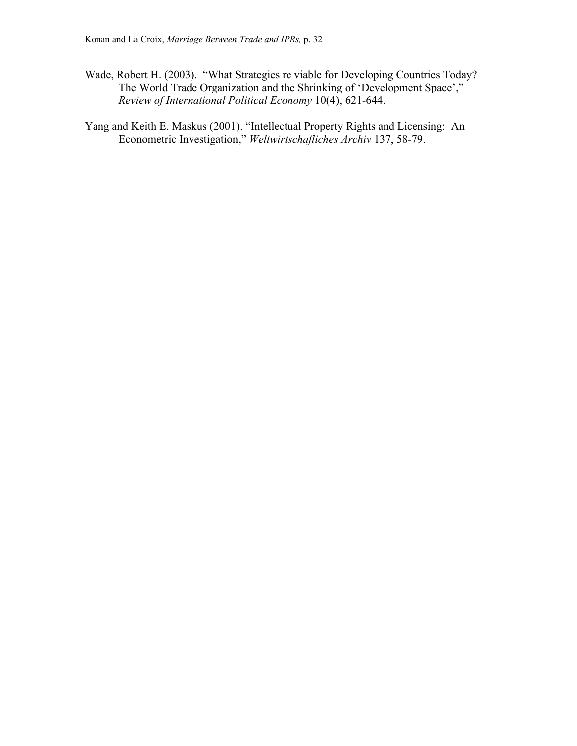- Wade, Robert H. (2003). "What Strategies re viable for Developing Countries Today? The World Trade Organization and the Shrinking of 'Development Space'," *Review of International Political Economy* 10(4), 621-644.
- Yang and Keith E. Maskus (2001). "Intellectual Property Rights and Licensing: An Econometric Investigation," *Weltwirtschafliches Archiv* 137, 58-79.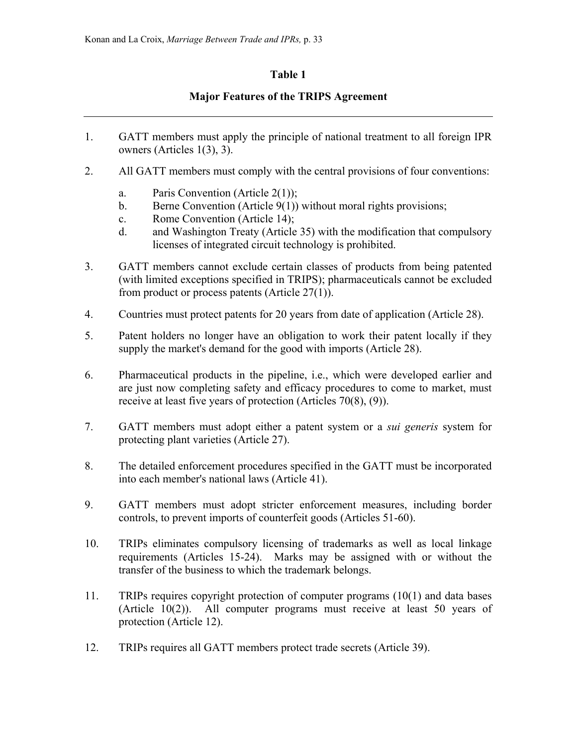# **Table 1**

# **Major Features of the TRIPS Agreement**

- 1. GATT members must apply the principle of national treatment to all foreign IPR owners (Articles 1(3), 3).
- 2. All GATT members must comply with the central provisions of four conventions:
	- a. Paris Convention (Article 2(1));
	- b. Berne Convention (Article 9(1)) without moral rights provisions;
	- c. Rome Convention (Article 14);
	- d. and Washington Treaty (Article 35) with the modification that compulsory licenses of integrated circuit technology is prohibited.
- 3. GATT members cannot exclude certain classes of products from being patented (with limited exceptions specified in TRIPS); pharmaceuticals cannot be excluded from product or process patents (Article 27(1)).
- 4. Countries must protect patents for 20 years from date of application (Article 28).
- 5. Patent holders no longer have an obligation to work their patent locally if they supply the market's demand for the good with imports (Article 28).
- 6. Pharmaceutical products in the pipeline, i.e., which were developed earlier and are just now completing safety and efficacy procedures to come to market, must receive at least five years of protection (Articles 70(8), (9)).
- 7. GATT members must adopt either a patent system or a *sui generis* system for protecting plant varieties (Article 27).
- 8. The detailed enforcement procedures specified in the GATT must be incorporated into each member's national laws (Article 41).
- 9. GATT members must adopt stricter enforcement measures, including border controls, to prevent imports of counterfeit goods (Articles 51-60).
- 10. TRIPs eliminates compulsory licensing of trademarks as well as local linkage requirements (Articles 15-24). Marks may be assigned with or without the transfer of the business to which the trademark belongs.
- 11. TRIPs requires copyright protection of computer programs (10(1) and data bases (Article 10(2)). All computer programs must receive at least 50 years of protection (Article 12).
- 12. TRIPs requires all GATT members protect trade secrets (Article 39).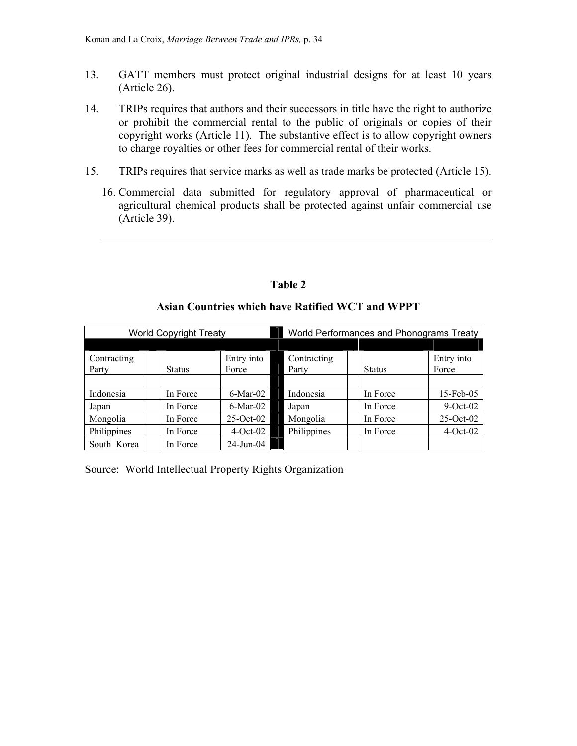- 13. GATT members must protect original industrial designs for at least 10 years (Article 26).
- 14. TRIPs requires that authors and their successors in title have the right to authorize or prohibit the commercial rental to the public of originals or copies of their copyright works (Article 11). The substantive effect is to allow copyright owners to charge royalties or other fees for commercial rental of their works.
- 15. TRIPs requires that service marks as well as trade marks be protected (Article 15).
	- 16. Commercial data submitted for regulatory approval of pharmaceutical or agricultural chemical products shall be protected against unfair commercial use (Article 39).

# **Table 2**

# **Asian Countries which have Ratified WCT and WPPT**

| <b>World Copyright Treaty</b> |  |               |                     |  | World Performances and Phonograms Treaty |  |               |                     |  |  |
|-------------------------------|--|---------------|---------------------|--|------------------------------------------|--|---------------|---------------------|--|--|
|                               |  |               |                     |  |                                          |  |               |                     |  |  |
| Contracting<br>Party          |  | <b>Status</b> | Entry into<br>Force |  | Contracting<br>Party                     |  | <b>Status</b> | Entry into<br>Force |  |  |
|                               |  |               |                     |  |                                          |  |               |                     |  |  |
| Indonesia                     |  | In Force      | $6$ -Mar-02         |  | Indonesia                                |  | In Force      | 15-Feb-05           |  |  |
| Japan                         |  | In Force      | $6$ -Mar-02         |  | Japan                                    |  | In Force      | $9$ -Oct-02         |  |  |
| Mongolia                      |  | In Force      | $25-Oct-02$         |  | Mongolia                                 |  | In Force      | $25-Oct-02$         |  |  |
| Philippines                   |  | In Force      | $4-Oct-02$          |  | Philippines                              |  | In Force      | $4-Oct-02$          |  |  |
| South Korea                   |  | In Force      | $24$ -Jun-04        |  |                                          |  |               |                     |  |  |

Source: World Intellectual Property Rights Organization